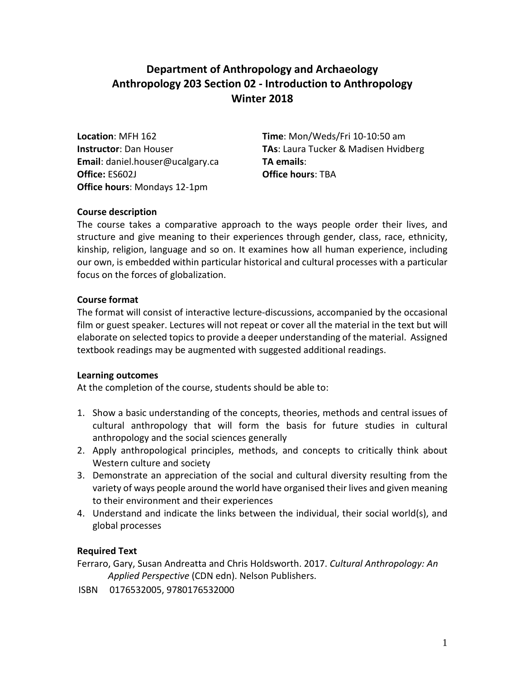# **Department of Anthropology and Archaeology Anthropology 203 Section 02 - Introduction to Anthropology Winter 2018**

**Email**: daniel.houser@ucalgary.ca **TA emails**: **Office:** ES602J **Office hours**: TBA **Office hours**: Mondays 12-1pm

**Location**: MFH 162 **Time**: Mon/Weds/Fri 10-10:50 am **Instructor**: Dan Houser **TAs**: Laura Tucker & Madisen Hvidberg

## **Course description**

The course takes a comparative approach to the ways people order their lives, and structure and give meaning to their experiences through gender, class, race, ethnicity, kinship, religion, language and so on. It examines how all human experience, including our own, is embedded within particular historical and cultural processes with a particular focus on the forces of globalization.

## **Course format**

The format will consist of interactive lecture-discussions, accompanied by the occasional film or guest speaker. Lectures will not repeat or cover all the material in the text but will elaborate on selected topics to provide a deeper understanding of the material. Assigned textbook readings may be augmented with suggested additional readings.

#### **Learning outcomes**

At the completion of the course, students should be able to:

- 1. Show a basic understanding of the concepts, theories, methods and central issues of cultural anthropology that will form the basis for future studies in cultural anthropology and the social sciences generally
- 2. Apply anthropological principles, methods, and concepts to critically think about Western culture and society
- 3. Demonstrate an appreciation of the social and cultural diversity resulting from the variety of ways people around the world have organised their lives and given meaning to their environment and their experiences
- 4. Understand and indicate the links between the individual, their social world(s), and global processes

# **Required Text**

Ferraro, Gary, Susan Andreatta and Chris Holdsworth. 2017. *Cultural Anthropology: An Applied Perspective* (CDN edn). Nelson Publishers.

ISBN 0176532005, 9780176532000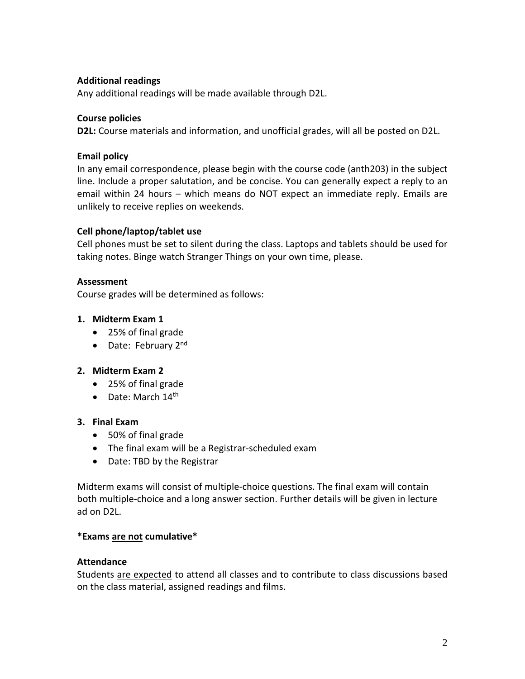# **Additional readings**

Any additional readings will be made available through D2L.

## **Course policies**

**D2L:** Course materials and information, and unofficial grades, will all be posted on D2L.

## **Email policy**

In any email correspondence, please begin with the course code (anth203) in the subject line. Include a proper salutation, and be concise. You can generally expect a reply to an email within 24 hours – which means do NOT expect an immediate reply. Emails are unlikely to receive replies on weekends.

## **Cell phone/laptop/tablet use**

Cell phones must be set to silent during the class. Laptops and tablets should be used for taking notes. Binge watch Stranger Things on your own time, please.

#### **Assessment**

Course grades will be determined as follows:

## **1. Midterm Exam 1**

- 25% of final grade
- Date: February 2nd

#### **2. Midterm Exam 2**

- 25% of final grade
- Date: March  $14<sup>th</sup>$

#### **3. Final Exam**

- 50% of final grade
- The final exam will be a Registrar-scheduled exam
- Date: TBD by the Registrar

Midterm exams will consist of multiple-choice questions. The final exam will contain both multiple-choice and a long answer section. Further details will be given in lecture ad on D2L.

#### **\*Exams are not cumulative\***

#### **Attendance**

Students are expected to attend all classes and to contribute to class discussions based on the class material, assigned readings and films.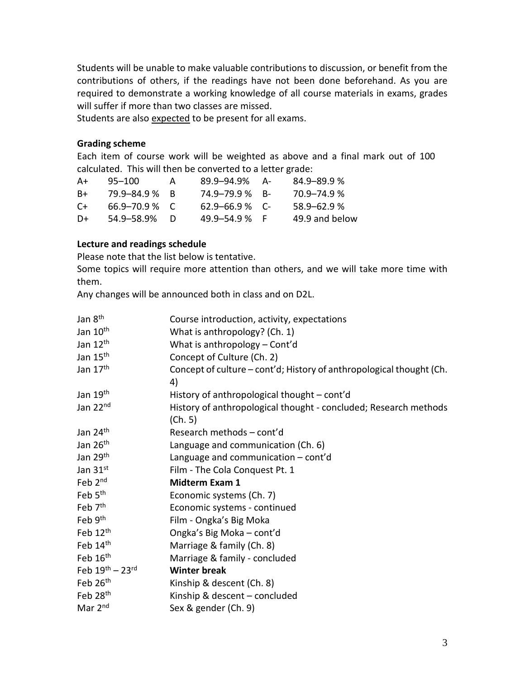Students will be unable to make valuable contributions to discussion, or benefit from the contributions of others, if the readings have not been done beforehand. As you are required to demonstrate a working knowledge of all course materials in exams, grades will suffer if more than two classes are missed.

Students are also expected to be present for all exams.

#### **Grading scheme**

Each item of course work will be weighted as above and a final mark out of 100 calculated. This will then be converted to a letter grade:

| A+   | 95–100            | A   | 89.9-94.9%          | - A | $84.9 - 89.9 %$ |
|------|-------------------|-----|---------------------|-----|-----------------|
| B+   | 79.9-84.9 % R     |     | 74.9-79.9 % B-      |     | 70.9–74.9 %     |
| $C+$ | $66.9 - 70.9$ % C |     | $62.9 - 66.9 \%$ C- |     | $58.9 - 62.9 %$ |
| D+   | 54.9–58.9%        | - D | $49.9 - 54.9%$      |     | 49.9 and below  |

#### **Lecture and readings schedule**

Please note that the list below is tentative.

Some topics will require more attention than others, and we will take more time with them.

Any changes will be announced both in class and on D2L.

| Jan 8 <sup>th</sup>     | Course introduction, activity, expectations                                 |
|-------------------------|-----------------------------------------------------------------------------|
| Jan 10 <sup>th</sup>    | What is anthropology? (Ch. 1)                                               |
| Jan 12 <sup>th</sup>    | What is anthropology - Cont'd                                               |
| Jan 15 <sup>th</sup>    | Concept of Culture (Ch. 2)                                                  |
| Jan 17 <sup>th</sup>    | Concept of culture – cont'd; History of anthropological thought (Ch.<br>4)  |
| Jan 19th                | History of anthropological thought - cont'd                                 |
| Jan 22nd                | History of anthropological thought - concluded; Research methods<br>(Ch. 5) |
| Jan 24th                | Research methods - cont'd                                                   |
| Jan 26th                | Language and communication (Ch. 6)                                          |
| Jan 29th                | Language and communication - cont'd                                         |
| Jan 31st                | Film - The Cola Conquest Pt. 1                                              |
| Feb 2 <sup>nd</sup>     | <b>Midterm Exam 1</b>                                                       |
| Feb 5 <sup>th</sup>     | Economic systems (Ch. 7)                                                    |
| Feb 7 <sup>th</sup>     | Economic systems - continued                                                |
| Feb 9 <sup>th</sup>     | Film - Ongka's Big Moka                                                     |
| Feb 12th                | Ongka's Big Moka - cont'd                                                   |
| Feb 14th                | Marriage & family (Ch. 8)                                                   |
| Feb 16 <sup>th</sup>    | Marriage & family - concluded                                               |
| Feb $19^{th} - 23^{rd}$ | <b>Winter break</b>                                                         |
| Feb $26th$              | Kinship & descent (Ch. 8)                                                   |
| Feb 28 <sup>th</sup>    | Kinship & descent - concluded                                               |
| Mar 2 <sup>nd</sup>     | Sex & gender (Ch. 9)                                                        |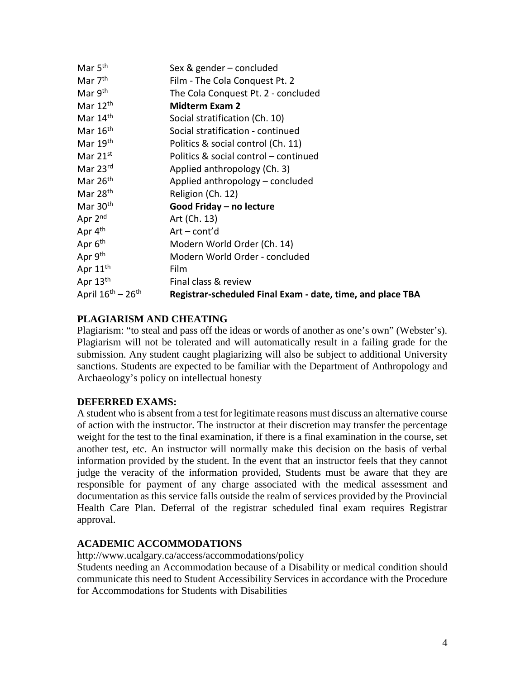| Mar 5 <sup>th</sup>                     | Sex & gender – concluded                                   |
|-----------------------------------------|------------------------------------------------------------|
| Mar 7 <sup>th</sup>                     | Film - The Cola Conquest Pt. 2                             |
| Mar 9th                                 | The Cola Conquest Pt. 2 - concluded                        |
| Mar 12 <sup>th</sup>                    | <b>Midterm Exam 2</b>                                      |
| Mar $14th$                              | Social stratification (Ch. 10)                             |
| Mar 16 <sup>th</sup>                    | Social stratification - continued                          |
| Mar 19 <sup>th</sup>                    | Politics & social control (Ch. 11)                         |
| Mar $21^{st}$                           | Politics & social control - continued                      |
| Mar 23rd                                | Applied anthropology (Ch. 3)                               |
| Mar 26 <sup>th</sup>                    | Applied anthropology - concluded                           |
| Mar 28 <sup>th</sup>                    | Religion (Ch. 12)                                          |
| Mar 30 <sup>th</sup>                    | Good Friday - no lecture                                   |
| Apr 2 <sup>nd</sup>                     | Art (Ch. 13)                                               |
| Apr 4 <sup>th</sup>                     | $Art - cont'd$                                             |
| Apr 6 <sup>th</sup>                     | Modern World Order (Ch. 14)                                |
| Apr 9th                                 | Modern World Order - concluded                             |
| Apr 11 <sup>th</sup>                    | Film                                                       |
| Apr 13th                                | Final class & review                                       |
| April $16^{\text{th}} - 26^{\text{th}}$ | Registrar-scheduled Final Exam - date, time, and place TBA |

# **PLAGIARISM AND CHEATING**

Plagiarism: "to steal and pass off the ideas or words of another as one's own" (Webster's). Plagiarism will not be tolerated and will automatically result in a failing grade for the submission. Any student caught plagiarizing will also be subject to additional University sanctions. Students are expected to be familiar with the Department of Anthropology and Archaeology's policy on intellectual honesty

# **DEFERRED EXAMS:**

A student who is absent from a test for legitimate reasons must discuss an alternative course of action with the instructor. The instructor at their discretion may transfer the percentage weight for the test to the final examination, if there is a final examination in the course, set another test, etc. An instructor will normally make this decision on the basis of verbal information provided by the student. In the event that an instructor feels that they cannot judge the veracity of the information provided, Students must be aware that they are responsible for payment of any charge associated with the medical assessment and documentation as this service falls outside the realm of services provided by the Provincial Health Care Plan. Deferral of the registrar scheduled final exam requires Registrar approval.

# **ACADEMIC ACCOMMODATIONS**

http://www.ucalgary.ca/access/accommodations/policy

Students needing an Accommodation because of a Disability or medical condition should communicate this need to Student Accessibility Services in accordance with the Procedure for Accommodations for Students with Disabilities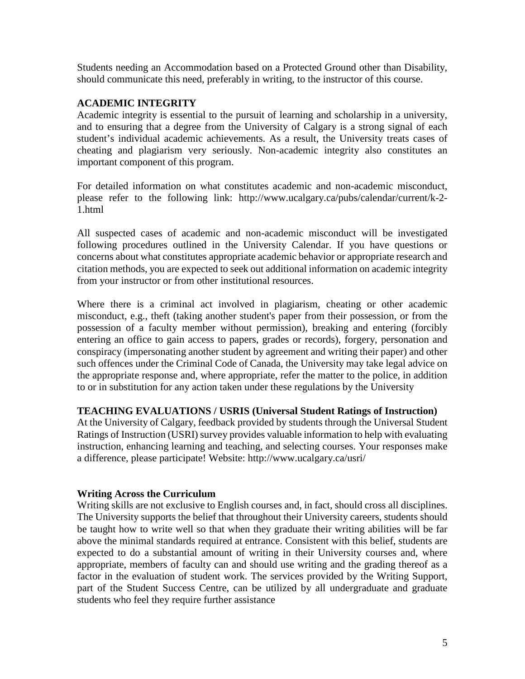Students needing an Accommodation based on a Protected Ground other than Disability, should communicate this need, preferably in writing, to the instructor of this course.

# **ACADEMIC INTEGRITY**

Academic integrity is essential to the pursuit of learning and scholarship in a university, and to ensuring that a degree from the University of Calgary is a strong signal of each student's individual academic achievements. As a result, the University treats cases of cheating and plagiarism very seriously. Non-academic integrity also constitutes an important component of this program.

For detailed information on what constitutes academic and non-academic misconduct, please refer to the following link: http://www.ucalgary.ca/pubs/calendar/current/k-2- 1.html

All suspected cases of academic and non-academic misconduct will be investigated following procedures outlined in the University Calendar. If you have questions or concerns about what constitutes appropriate academic behavior or appropriate research and citation methods, you are expected to seek out additional information on academic integrity from your instructor or from other institutional resources.

Where there is a criminal act involved in plagiarism, cheating or other academic misconduct, e.g., theft (taking another student's paper from their possession, or from the possession of a faculty member without permission), breaking and entering (forcibly entering an office to gain access to papers, grades or records), forgery, personation and conspiracy (impersonating another student by agreement and writing their paper) and other such offences under the Criminal Code of Canada, the University may take legal advice on the appropriate response and, where appropriate, refer the matter to the police, in addition to or in substitution for any action taken under these regulations by the University

# **TEACHING EVALUATIONS / USRIS (Universal Student Ratings of Instruction)**

At the University of Calgary, feedback provided by students through the Universal Student Ratings of Instruction (USRI) survey provides valuable information to help with evaluating instruction, enhancing learning and teaching, and selecting courses. Your responses make a difference, please participate! Website: http://www.ucalgary.ca/usri/

#### **Writing Across the Curriculum**

Writing skills are not exclusive to English courses and, in fact, should cross all disciplines. The University supports the belief that throughout their University careers, students should be taught how to write well so that when they graduate their writing abilities will be far above the minimal standards required at entrance. Consistent with this belief, students are expected to do a substantial amount of writing in their University courses and, where appropriate, members of faculty can and should use writing and the grading thereof as a factor in the evaluation of student work. The services provided by the Writing Support, part of the Student Success Centre, can be utilized by all undergraduate and graduate students who feel they require further assistance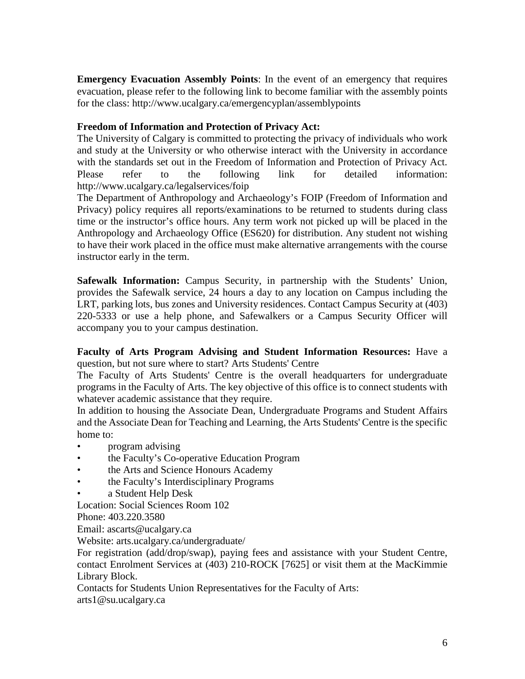**Emergency Evacuation Assembly Points**: In the event of an emergency that requires evacuation, please refer to the following link to become familiar with the assembly points for the class: http://www.ucalgary.ca/emergencyplan/assemblypoints

# **Freedom of Information and Protection of Privacy Act:**

The University of Calgary is committed to protecting the privacy of individuals who work and study at the University or who otherwise interact with the University in accordance with the standards set out in the Freedom of Information and Protection of Privacy Act. Please refer to the following link for detailed information: http://www.ucalgary.ca/legalservices/foip

The Department of Anthropology and Archaeology's FOIP (Freedom of Information and Privacy) policy requires all reports/examinations to be returned to students during class time or the instructor's office hours. Any term work not picked up will be placed in the Anthropology and Archaeology Office (ES620) for distribution. Any student not wishing to have their work placed in the office must make alternative arrangements with the course instructor early in the term.

**Safewalk Information:** Campus Security, in partnership with the Students' Union, provides the Safewalk service, 24 hours a day to any location on Campus including the LRT, parking lots, bus zones and University residences. Contact Campus Security at (403) 220-5333 or use a help phone, and Safewalkers or a Campus Security Officer will accompany you to your campus destination.

#### **Faculty of Arts Program Advising and Student Information Resources:** Have a question, but not sure where to start? Arts Students' Centre

The Faculty of Arts Students' Centre is the overall headquarters for undergraduate programs in the Faculty of Arts. The key objective of this office is to connect students with whatever academic assistance that they require.

In addition to housing the Associate Dean, Undergraduate Programs and Student Affairs and the Associate Dean for Teaching and Learning, the Arts Students' Centre is the specific home to:

- program advising
- the Faculty's Co-operative Education Program
- the Arts and Science Honours Academy
- the Faculty's Interdisciplinary Programs
- a Student Help Desk

Location: Social Sciences Room 102

Phone: 403.220.3580

Email: ascarts@ucalgary.ca

Website: arts.ucalgary.ca/undergraduate/

For registration (add/drop/swap), paying fees and assistance with your Student Centre, contact Enrolment Services at (403) 210-ROCK [7625] or visit them at the MacKimmie Library Block.

Contacts for Students Union Representatives for the Faculty of Arts:

arts1@su.ucalgary.ca